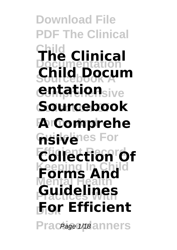**Download File DF The Clinical Child The Clinical Documentation Sourcebook A Child Docum entation**sive **Collection Of Sourcebook Forms And A Comprehe hsive**res For **Collection Of Forms And Mental Health Practices With Guidelines Disk For Efficient** Praceage 1/18 anners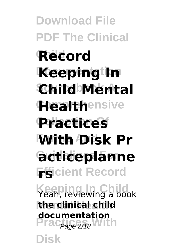**Download File PDF The Clinical Record Keeping In Sourcebook A Child Mental Healthensive Collection Of Practices With Disk Pr Guidelines For acticeplanne**  $\mathbf{F}\mathbf{S}$ icient Record **Keeping In Child** Yeah, reviewing a book **Mental Health the clinical child** Prac<sub>Page 2/18</sub> With **Disk documentation**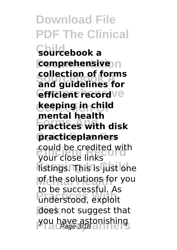**Download File PDF The Clinical Child sourcebook a comprehensive Sourcebook A and guidelines for** *<u>efficient</u>* recordve **Collection Of keeping in child Forms And practices with disk Guidelines For practiceplanners** could be credited with<br>Vour close links **Kistings. This is just one Methe solutions for you Practices With** understood, exploit **Disk** does not suggest that you have astonishing<br>Page 3/18 **collection of forms mental health** your close links to be successful. As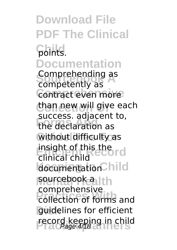**Download File PDF The Clinical Child** points. **Documentation** comprenenting as<br>competently as Contract even more than new will give each **Forms And** the declaration as without difficulty as insight of this the<br>clinical child documentation<sup>C</sup>hild sourcebook a lth **Practices With** collection of forms and **Disk** guidelines for efficient record keeping in child<br>Page 4/18 Comprehending as success. adjacent to, clinical child comprehensive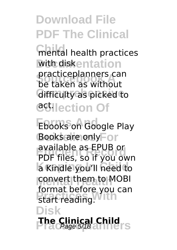**Children** mental health practices with diskentation **Sourcebook A** be taken as without **Gifficulty as picked to CGHIection Of** practiceplanners can

**Ebooks on Google Play** Books are only<sup>F</sup>or **Efficient Record** PDF files, so if you own a Kindle you'll need to **Mental Health** convert them to MOBI **Primat Before**<br>
start reading. **Disk The Clinical Child** Page 5/18 available as EPUB or format before you can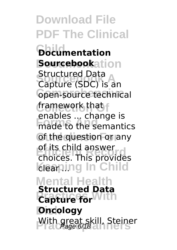**Download File PDF The Clinical Child Documentation Sourcebookation** Suuctured Data<br>Capture (SDC) is an **Coen-source technical Collection Of** framework that **Forms And** made to the semantics of the question or any **Efficient** Choices. This provides **Keaping In Child Mental Health Practices With Capture for Discology** With great skill, Steiner Structured Data enables ... change is of its child answer **Structured Data**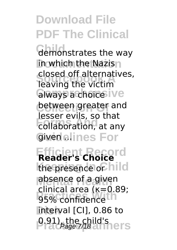demonstrates the way **in which the Nazis Sourcebook A** leaving the victim **Glways a choice IVe between greater and Forms**, so that Given elines For closed off alternatives, lesser evils, so that

**Efficient Record Reader's Choice** the presence of hild **Labsence of a given Primediately Disk** interval [CI], 0.86 to **P.91), the child's Practice**<br>
Practices 7/18 and Press clinical area (κ=0.89;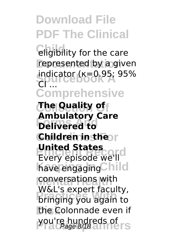**Childrighta** eligibility for the care represented by a given indicator (κ=0.95; 95%) **Comprehensive** CI ...

**Collection Of The Quality of Forms And Delivered to Children in the r Exercise States** have engaging Child **conversations with Pringing you again to Disk** the Colonnade even if **you're hundreds of Page 8/18 Ambulatory Care United States** W&L's expert faculty,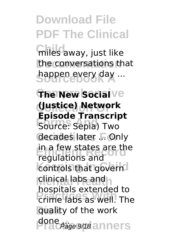**Child** miles away, just like the conversations that happen every day ...

**The New Social** Ve **Collection Of (Justice) Network Forms Andrew Andrew Andrew Source: Sepia) Two** decades later ... Only in a few states are the controls that govern **Mental Health** clinical labs and **Practices With** crime labs as well. The **Disk** quality of the work done ... <sub>ge</sub> 9/18 anners **Episode Transcript** regulations and hospitals extended to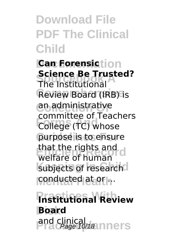**Can Forensiction Science Be Trust**<br>The Institutional **Review Board (IRB) is Collection Of** an administrative **Formalistic College (TC)** whose purpose is to ensure that the rights and<br>Welfare of human subjects of research conducted at or ... **Science Be Trusted?** committee of Teachers welfare of human

**Practices With Institutional Review Disk Board Practinical Andrews**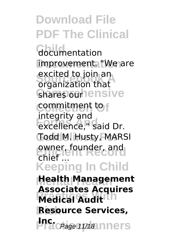**Download File PDF The Clinical** Gocumentation improvement. "We are excited to Join an<br>organization that Ghares outhensive **Collection Of** commitment to **Friday Inc.**<br>
excellence," said Dr. Todd M. Husty, MARSI owner, founder, and<br>chiof **Keeping In Child Mental Health Health Management Medical Audit Disk Resource Services, Inc.** *Praceage 11/18* Inners excited to join an integrity and  $\mathsf{chief}^{\mathsf{in}}$ **Associates Acquires**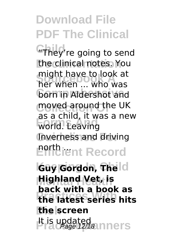**Child**'re going to send the clinical notes. You **Source A** Hight nave to look at **born in Aldershot and** moved around the UK **Forms** world. Leaving Inverness and driving **Porth ient Record** might have to look at as a child, it was a new

**Key Gordon, The Id Mental Health Highland Vet, is Practices With the latest series hits Disk the screen 世高updated Page 12/18 mners back with a book as**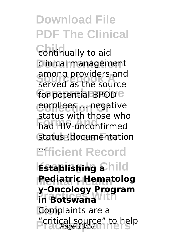**Continually to aid clinical management** among providers and<br>served as the source for potential BPOD<sup>e</sup> **Corplices of negative Forms And** had HIV-unconfirmed **Status (documentation** among providers and status with those who

## **Efficient Record** ...

**Establishing a**hild **Mental Health Pediatric Hematolog Profitsions Disk** Complaints are a **Practiceplanners** "critical source" to help Page 13/18**y-Oncology Program**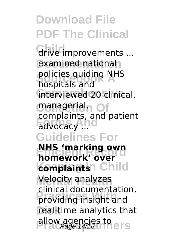**Download File PDF The Clinical** Grive *improvements* ... examined national policies guiding NHS<br>Pospitals and **Comprehensive** interviewed 20 clinical, **Collection Of** managerial, **Formalis Guidelines For EXECUTE:** NHS 'marking own **komplaints** Child **Melocity analyzes Practices With** providing insight and real-time analytics that allow agencies to **Page 14/18** hospitals and complaints, and patient **homework' over** clinical documentation,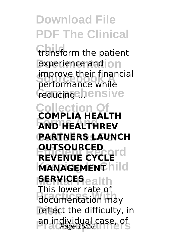**Download File PDF The Clinical** transform the patient experience and **on Improve their linar**<br>performance while *<u>Coucingehensive</u>* **Collection Of Forms And AND HEALTHREV PARTNERS LAUNCH REVENUE CYCLE MANAGEMENT SERVICES** ealth **Prins Tower Tate of** reflect the difficulty, in an individual case, of improve their financial **COMPLIA HEALTH OUTSOURCED** This lower rate of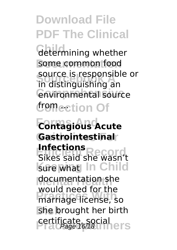determining whether some common food **Sourcebook A** in distinguishing an **Comprehensive** environmental source **Cromection Of** source is responsible or

**Forms And Contagious Acute Guidelines For Gastrointestinal Efficient Record**<br>Sikes said she wasn't sure what In Child **Mental Health** documentation she **Product Hotel Practice**<br>
marriage license, so **Disk** she brought her birth **certificate, social Practice Infections** would need for the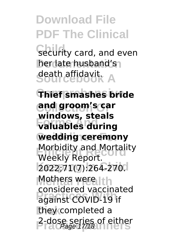Security card, and even **her late husband's Sourcebook A** death affidavit.

**Comprehensive Thief smashes bride Collection Of and groom's car Forms And valuables during wedding ceremony Morbidity and Mortality**<br>Wookly Bonert **Keeping In Child** 2022;71(7):264-270. **Methers were Ith Practices With** against COVID-19 if **Disk** they completed a 2-dose series of either<br>Page 17/18 **windows, steals** Weekly Report. considered vaccinated